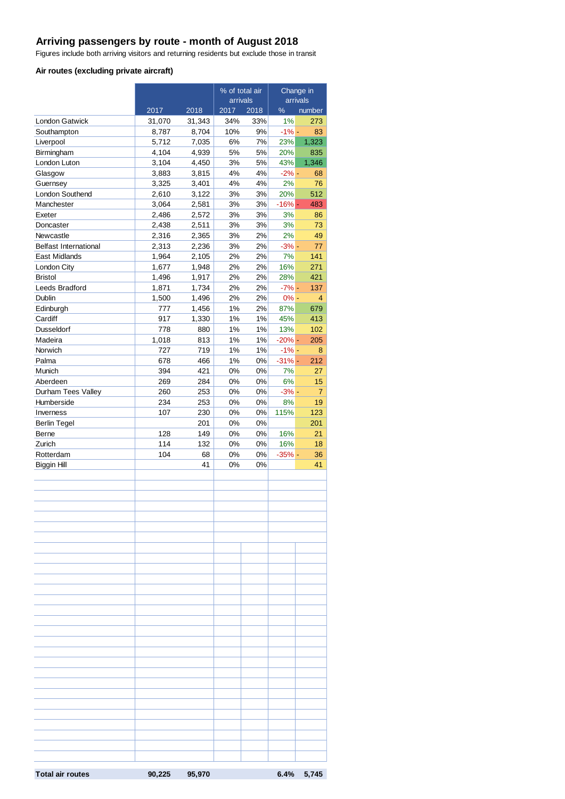#### **Arriving passengers by route - month of August 2018**

Figures include both arriving visitors and returning residents but exclude those in transit

#### **Air routes (excluding private aircraft)**

|                               |                | % of total air |          | Change in |                 |                |
|-------------------------------|----------------|----------------|----------|-----------|-----------------|----------------|
|                               |                |                | arrivals |           | arrivals        |                |
|                               | 2017           | 2018           | 2017     | 2018      | %               | number         |
| <b>London Gatwick</b>         | 31,070         | 31,343         | 34%      | 33%       | 1%              | 273            |
| Southampton                   | 8,787          | 8,704          | 10%      | 9%        | $-1% -$         | 83             |
| Liverpool                     | 5,712          | 7,035          | 6%       | 7%        | 23%             | 1,323          |
| Birmingham                    | 4,104          | 4,939          | 5%       | 5%        | 20%             | 835            |
| London Luton                  | 3,104          | 4,450          | 3%       | 5%        | 43%             | 1,346          |
| Glasgow                       | 3,883          | 3,815          | 4%       | 4%        | $-2\%$ -        | 68             |
| Guernsey                      | 3,325<br>2,610 | 3,401          | 4%       | $4\%$     | 2%              | 76             |
| London Southend<br>Manchester | 3,064          | 3,122<br>2,581 | 3%<br>3% | 3%<br>3%  | 20%<br>$-16% -$ | 512<br>483     |
| Exeter                        | 2,486          | 2,572          | 3%       | 3%        | 3%              | 86             |
| Doncaster                     | 2,438          | 2,511          | 3%       | 3%        | 3%              | 73             |
| Newcastle                     | 2,316          | 2,365          | 3%       | 2%        | 2%              | 49             |
| <b>Belfast International</b>  | 2,313          | 2,236          | 3%       | 2%        | $-3% -$         | 77             |
| East Midlands                 | 1,964          | 2,105          | 2%       | 2%        | 7%              | 141            |
| London City                   | 1,677          | 1,948          | 2%       | 2%        | 16%             | 271            |
| <b>Bristol</b>                | 1,496          | 1,917          | 2%       | 2%        | 28%             | 421            |
| Leeds Bradford                | 1,871          | 1,734          | 2%       | 2%        | $-7% -$         | 137            |
| Dublin                        | 1,500          | 1,496          | 2%       | 2%        | $0% -$          | $\overline{4}$ |
| Edinburgh                     | 777            | 1,456          | 1%       | 2%        | 87%             | 679            |
| Cardiff                       | 917            | 1,330          | $1\%$    | 1%        | 45%             | 413            |
| Dusseldorf                    | 778            | 880            | 1%       | 1%        | 13%             | 102            |
| Madeira                       | 1,018          | 813            | 1%       | 1%        | $-20% -$        | 205            |
| Norwich                       | 727            | 719            | $1\%$    | 1%        | $-1% -$         | 8              |
| Palma                         | 678            | 466            | $1\%$    | 0%        | $-31%$ -        | 212            |
| Munich                        | 394            | 421            | 0%       | 0%        | 7%              | 27             |
| Aberdeen                      | 269            | 284            | 0%       | 0%        | 6%              | 15             |
| Durham Tees Valley            | 260            | 253            | 0%       | 0%        | $-3% -$         | $\overline{7}$ |
| Humberside                    | 234            | 253            | 0%       | 0%        | 8%              | 19             |
| Inverness                     | 107            | 230            | 0%       | 0%        | 115%            | 123            |
| <b>Berlin Tegel</b>           |                | 201            | 0%       | 0%        |                 | 201            |
| Berne                         | 128            | 149            | 0%       | 0%        | 16%             | 21             |
| Zurich                        | 114            | 132            | 0%       | 0%        | 16%             | 18             |
| Rotterdam                     | 104            | 68             | $0\%$    | 0%        | $-35%$ -        | 36             |
| Biggin Hill                   |                | 41             | 0%       | 0%        |                 | 41             |
|                               |                |                |          |           |                 |                |
|                               |                |                |          |           |                 |                |
|                               |                |                |          |           |                 |                |
|                               |                |                |          |           |                 |                |
|                               |                |                |          |           |                 |                |
|                               |                |                |          |           |                 |                |
|                               |                |                |          |           |                 |                |
|                               |                |                |          |           |                 |                |
|                               |                |                |          |           |                 |                |
|                               |                |                |          |           |                 |                |
|                               |                |                |          |           |                 |                |
|                               |                |                |          |           |                 |                |
|                               |                |                |          |           |                 |                |
|                               |                |                |          |           |                 |                |
|                               |                |                |          |           |                 |                |
|                               |                |                |          |           |                 |                |
|                               |                |                |          |           |                 |                |
|                               |                |                |          |           |                 |                |
|                               |                |                |          |           |                 |                |
|                               |                |                |          |           |                 |                |
|                               |                |                |          |           |                 |                |
|                               |                |                |          |           |                 |                |
|                               |                |                |          |           |                 |                |
|                               |                |                |          |           |                 |                |
|                               |                |                |          |           |                 |                |
|                               |                |                |          |           |                 |                |
|                               |                |                |          |           |                 |                |
|                               |                |                |          |           |                 |                |
| <b>Total air routes</b>       | 90,225         | 95,970         |          |           | 6.4%            | 5,745          |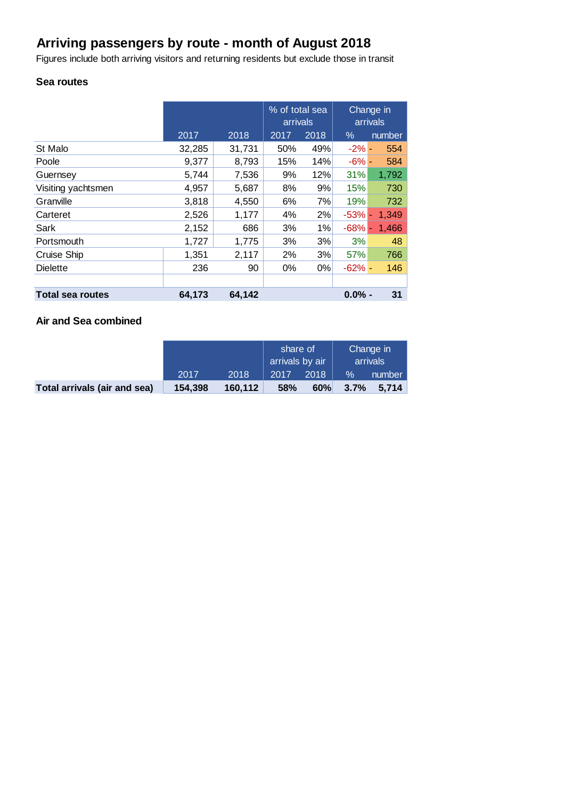## **Arriving passengers by route - month of August 2018**

Figures include both arriving visitors and returning residents but exclude those in transit

#### **Sea routes**

|                         |        |        | % of total sea<br>arrivals |       | Change in<br>arrivals |        |
|-------------------------|--------|--------|----------------------------|-------|-----------------------|--------|
|                         | 2017   | 2018   | 2017                       | 2018  | $\%$                  | number |
| St Malo                 | 32,285 | 31,731 | 50%                        | 49%   | $-2\%$ -              | 554    |
| Poole                   | 9,377  | 8,793  | 15%                        | 14%   | $-6% -$               | 584    |
| Guernsey                | 5,744  | 7,536  | 9%                         | 12%   | 31%                   | 1,792  |
| Visiting yachtsmen      | 4,957  | 5,687  | 8%                         | 9%    | 15%                   | 730    |
| Granville               | 3,818  | 4,550  | 6%                         | 7%    | 19%                   | 732    |
| Carteret                | 2,526  | 1,177  | 4%                         | 2%    | $-53%$ -              | 1,349  |
| Sark                    | 2,152  | 686    | 3%                         | 1%    | $-68%$ -              | 1,466  |
| Portsmouth              | 1,727  | 1,775  | 3%                         | 3%    | 3%                    | 48     |
| Cruise Ship             | 1,351  | 2,117  | 2%                         | 3%    | 57%                   | 766    |
| <b>Dielette</b>         | 236    | 90     | $0\%$                      | $0\%$ | $-62%$ -              | 146    |
|                         |        |        |                            |       |                       |        |
| <b>Total sea routes</b> | 64,173 | 64,142 |                            |       | $0.0\%$ -             | 31     |

### **Air and Sea combined**

|                              |         |          | share of<br>arrivals by air |      | Change in<br>arrivals |        |
|------------------------------|---------|----------|-----------------------------|------|-----------------------|--------|
|                              | 2017    | 2018     | 2017                        | 2018 | $\frac{9}{6}$         | number |
| Total arrivals (air and sea) | 154,398 | 160, 112 | <b>58%</b>                  | 60%  | 3.7%                  | 5.714  |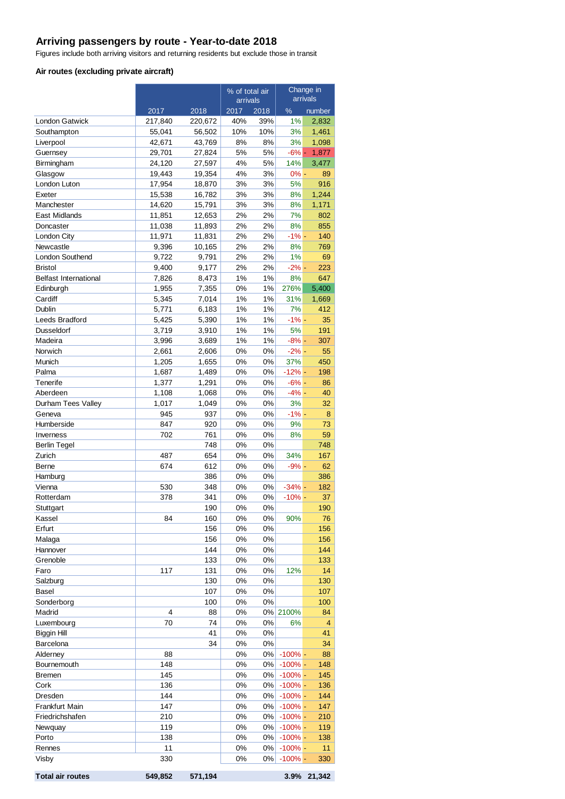#### **Arriving passengers by route - Year-to-date 2018**

Figures include both arriving visitors and returning residents but exclude those in transit

#### **Air routes (excluding private aircraft)**

|                              |                  |                  | % of total air |           | Change in           |                |
|------------------------------|------------------|------------------|----------------|-----------|---------------------|----------------|
|                              |                  |                  | arrivals       |           |                     | arrivals       |
|                              | 2017             | 2018             | 2017           | 2018      | $\%$                | number         |
| <b>London Gatwick</b>        | 217,840          | 220,672          | 40%            | 39%       | 1%                  | 2,832          |
| Southampton                  | 55,041           | 56,502           | 10%<br>8%      | 10%<br>8% | 3%<br>3%            | 1,461<br>1,098 |
| Liverpool<br>Guernsey        | 42,671<br>29,701 | 43,769<br>27,824 | 5%             | 5%        | $-6%$ -             | 1,877          |
| Birmingham                   | 24,120           | 27,597           | 4%             | 5%        | 14%                 | 3,477          |
| Glasgow                      | 19,443           | 19,354           | 4%             | 3%        | $0% -$              | 89             |
| <b>London Luton</b>          | 17,954           | 18,870           | 3%             | 3%        | 5%                  | 916            |
| Exeter                       | 15,538           | 16,782           | 3%             | 3%        | 8%                  | 1,244          |
| Manchester                   | 14,620           | 15,791           | 3%             | 3%        | 8%                  | 1,171          |
| East Midlands                | 11,851           | 12,653           | 2%             | 2%        | 7%                  | 802            |
| Doncaster                    | 11,038           | 11,893           | 2%             | 2%        | 8%                  | 855            |
| London City                  | 11,971           | 11,831           | 2%             | 2%        | $-1% -$             | 140            |
| Newcastle                    | 9,396            | 10,165           | 2%             | 2%        | 8%                  | 769            |
| London Southend              | 9,722            | 9,791            | 2%             | 2%        | 1%                  | 69             |
| <b>Bristol</b>               | 9,400            | 9,177            | 2%             | 2%        | $-2\%$ -            | 223            |
| <b>Belfast International</b> | 7,826            | 8,473            | 1%             | 1%        | 8%                  | 647            |
| Edinburgh                    | 1,955            | 7,355            | 0%             | 1%        | 276%                | 5,400          |
| Cardiff                      | 5,345            | 7,014            | 1%             | 1%        | 31%                 | 1,669          |
| Dublin                       | 5,771            | 6,183            | 1%             | 1%        | 7%                  | 412            |
| Leeds Bradford               | 5,425            | 5,390            | 1%             | 1%        | $-1\% -$            | 35             |
| <b>Dusseldorf</b>            | 3,719            | 3,910            | 1%             | 1%        | 5%                  | 191            |
| Madeira                      | 3,996            | 3,689            | 1%             | 1%        | $-8% -$             | 307            |
| Norwich                      | 2,661            | 2,606            | 0%             | 0%        | $-2\%$ -            | 55             |
| Munich                       | 1,205            | 1,655            | 0%             | 0%        | 37%                 | 450            |
| Palma<br>Tenerife            | 1,687<br>1,377   | 1,489<br>1,291   | 0%<br>0%       | 0%<br>0%  | $-12% -$<br>$-6% -$ | 198<br>86      |
| Aberdeen                     | 1,108            | 1,068            | 0%             | 0%        | $-4% -$             | 40             |
| Durham Tees Valley           | 1,017            | 1,049            | 0%             | 0%        | 3%                  | 32             |
| Geneva                       | 945              | 937              | 0%             | 0%        | $-1%$ -             | 8              |
| Humberside                   | 847              | 920              | 0%             | 0%        | 9%                  | 73             |
| Inverness                    | 702              | 761              | 0%             | 0%        | 8%                  | 59             |
| <b>Berlin Tegel</b>          |                  | 748              | $0\%$          | 0%        |                     | 748            |
| Zurich                       | 487              | 654              | 0%             | 0%        | 34%                 | 167            |
| Berne                        | 674              | 612              | 0%             | 0%        | $-9% -$             | 62             |
| Hamburg                      |                  | 386              | 0%             | 0%        |                     | 386            |
| Vienna                       | 530              | 348              | 0%             | 0%        | $-34%$ -            | 182            |
| Rotterdam                    | 378              | 341              | 0%             | 0%        | $-10%$ -            | 37             |
| Stuttgart                    |                  | 190              | 0%             | 0%        |                     | 190            |
| Kassel                       | 84               | 160              | 0%             | 0%        | 90%                 | 76             |
| Erfurt                       |                  | 156              | 0%             | 0%        |                     | 156            |
| Malaga                       |                  | 156              | 0%             | 0%        |                     | 156            |
| Hannover                     |                  | 144              | 0%             | 0%        |                     | 144            |
| Grenoble                     |                  | 133              | 0%             | 0%        |                     | 133            |
| Faro                         | 117              | 131              | 0%             | 0%        | 12%                 | 14             |
| Salzburg                     |                  | 130<br>107       | 0%<br>0%       | 0%        |                     | 130<br>107     |
| Basel<br>Sonderborg          |                  | 100              | 0%             | 0%<br>0%  |                     | 100            |
| Madrid                       | 4                | 88               | 0%             | 0%        | 2100%               | 84             |
| Luxembourg                   | 70               | 74               | 0%             | 0%        | 6%                  | $\overline{4}$ |
| Biggin Hill                  |                  | 41               | 0%             | 0%        |                     | 41             |
| Barcelona                    |                  | 34               | 0%             | 0%        |                     | 34             |
| Alderney                     | 88               |                  | 0%             | 0%        | $-100%$ -           | 88             |
| Bournemouth                  | 148              |                  | 0%             | 0%        | $-100%$ -           | 148            |
| Bremen                       | 145              |                  | 0%             | 0%        | $-100%$ -           | 145            |
| Cork                         | 136              |                  | 0%             | 0%        | $-100%$ -           | 136            |
| Dresden                      | 144              |                  | 0%             | 0%        | $-100%$ -           | 144            |
| Frankfurt Main               | 147              |                  | 0%             | 0%        | $-100\%$ -          | 147            |
| Friedrichshafen              | 210              |                  | 0%             | 0%        | $-100%$ -           | 210            |
| Newquay                      | 119              |                  | 0%             | 0%        | $-100%$ -           | 119            |
| Porto                        | 138              |                  | 0%             | 0%        | $-100\%$ -          | 138            |
| Rennes                       | 11               |                  | 0%             | 0%        | $-100\%$ -          | 11             |
| Visby                        | 330              |                  | 0%             | 0%        | $-100%$ -           | 330            |

| <b>Total air routes</b> | 549,852 571,194 | 3.9% 21,342 |
|-------------------------|-----------------|-------------|
|                         |                 |             |